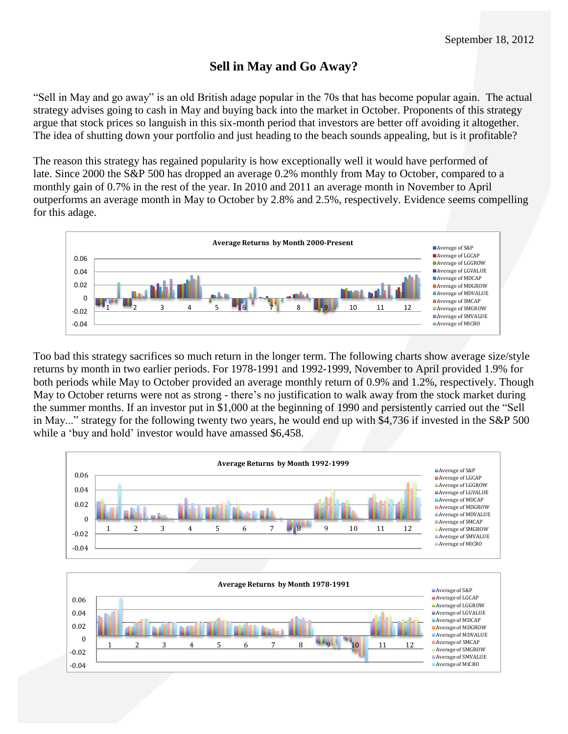## **Sell in May and Go Away?**

"Sell in May and go away" is an old British adage popular in the 70s that has become popular again. The actual strategy advises going to cash in May and buying back into the market in October. Proponents of this strategy argue that stock prices so languish in this six-month period that investors are better off avoiding it altogether. The idea of shutting down your portfolio and just heading to the beach sounds appealing, but is it profitable?

The reason this strategy has regained popularity is how exceptionally well it would have performed of late. Since 2000 the S&P 500 has dropped an average 0.2% monthly from May to October, compared to a monthly gain of 0.7% in the rest of the year. In 2010 and 2011 an average month in November to April outperforms an average month in May to October by 2.8% and 2.5%, respectively. Evidence seems compelling for this adage.



Too bad this strategy sacrifices so much return in the longer term. The following charts show average size/style returns by month in two earlier periods. For 1978-1991 and 1992-1999, November to April provided 1.9% for both periods while May to October provided an average monthly return of 0.9% and 1.2%, respectively. Though May to October returns were not as strong - there's no justification to walk away from the stock market during the summer months. If an investor put in \$1,000 at the beginning of 1990 and persistently carried out the "Sell in May..." strategy for the following twenty two years, he would end up with \$4,736 if invested in the S&P 500 while a 'buy and hold' investor would have amassed \$6,458.